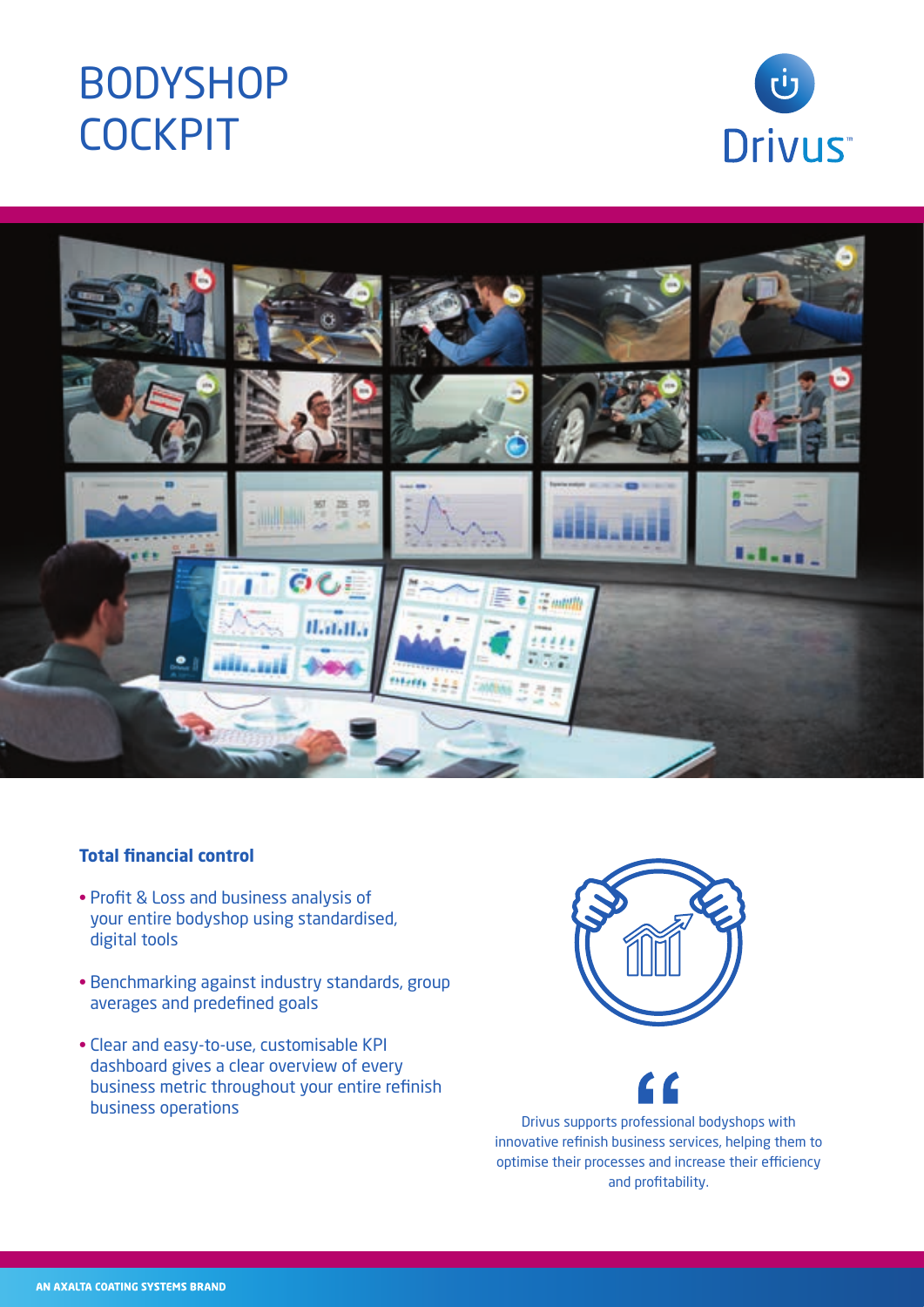# BODYSHOP **COCKPIT**





### **Total financial control**

- Profit & Loss and business analysis of your entire bodyshop using standardised, digital tools
- Benchmarking against industry standards, group averages and predefined goals
- Clear and easy-to-use, customisable KPI dashboard gives a clear overview of every business metric throughout your entire refinish business operations Drivus supports professional bodyshops with





innovative refinish business services, helping them to optimise their processes and increase their efficiency and profitability.